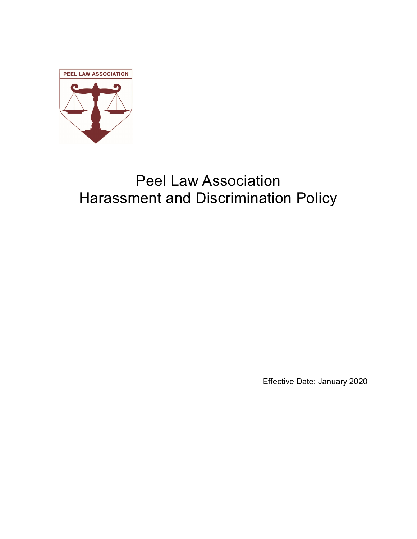

# Peel Law Association Harassment and Discrimination Policy

Effective Date: January 2020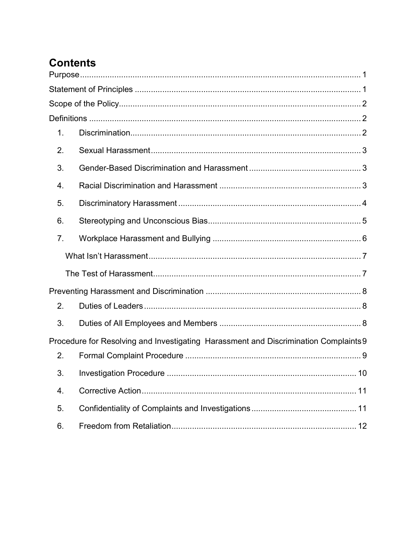# **Contents**

| 1.             |                                                                                      |  |
|----------------|--------------------------------------------------------------------------------------|--|
| 2.             |                                                                                      |  |
| 3.             |                                                                                      |  |
| 4.             |                                                                                      |  |
| 5.             |                                                                                      |  |
| 6.             |                                                                                      |  |
| 7 <sub>1</sub> |                                                                                      |  |
|                |                                                                                      |  |
|                |                                                                                      |  |
|                |                                                                                      |  |
| 2.             |                                                                                      |  |
| 3.             |                                                                                      |  |
|                | Procedure for Resolving and Investigating Harassment and Discrimination Complaints 9 |  |
| 2.             |                                                                                      |  |
| 3.             |                                                                                      |  |
| 4.             |                                                                                      |  |
| 5.             |                                                                                      |  |
| 6.             |                                                                                      |  |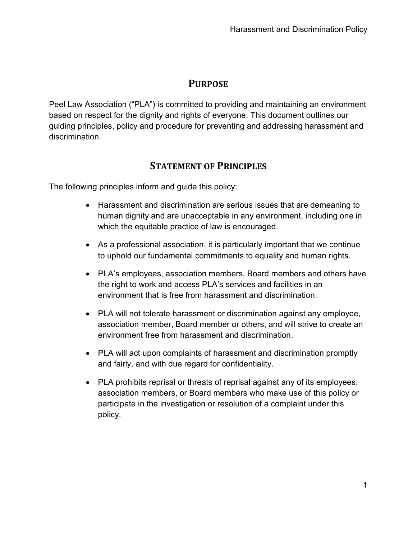# **PURPOSE**

Peel Law Association ("PLA") is committed to providing and maintaining an environment based on respect for the dignity and rights of everyone. This document outlines our guiding principles, policy and procedure for preventing and addressing harassment and discrimination.

# STATEMENT OF PRINCIPLES

The following principles inform and guide this policy:

- Harassment and discrimination are serious issues that are demeaning to human dignity and are unacceptable in any environment, including one in which the equitable practice of law is encouraged.
- As a professional association, it is particularly important that we continue to uphold our fundamental commitments to equality and human rights.
- PLA's employees, association members, Board members and others have the right to work and access PLA's services and facilities in an environment that is free from harassment and discrimination.
- PLA will not tolerate harassment or discrimination against any employee, association member, Board member or others, and will strive to create an environment free from harassment and discrimination.
- PLA will act upon complaints of harassment and discrimination promptly and fairly, and with due regard for confidentiality.
- PLA prohibits reprisal or threats of reprisal against any of its employees, association members, or Board members who make use of this policy or participate in the investigation or resolution of a complaint under this policy.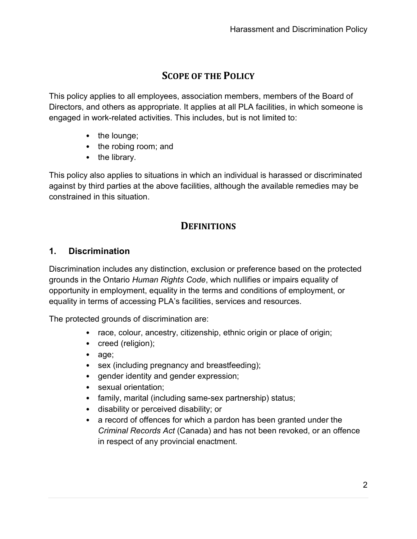# SCOPE OF THE POLICY

This policy applies to all employees, association members, members of the Board of Directors, and others as appropriate. It applies at all PLA facilities, in which someone is engaged in work-related activities. This includes, but is not limited to:

- the lounge;
- the robing room; and
- the library.

This policy also applies to situations in which an individual is harassed or discriminated against by third parties at the above facilities, although the available remedies may be constrained in this situation.

# **DEFINITIONS**

#### 1. Discrimination

Discrimination includes any distinction, exclusion or preference based on the protected grounds in the Ontario Human Rights Code, which nullifies or impairs equality of opportunity in employment, equality in the terms and conditions of employment, or equality in terms of accessing PLA's facilities, services and resources.

The protected grounds of discrimination are:

- race, colour, ancestry, citizenship, ethnic origin or place of origin;
- creed (religion);
- age;
- sex (including pregnancy and breastfeeding);
- gender identity and gender expression;
- sexual orientation;
- family, marital (including same-sex partnership) status;
- disability or perceived disability; or
- a record of offences for which a pardon has been granted under the Criminal Records Act (Canada) and has not been revoked, or an offence in respect of any provincial enactment.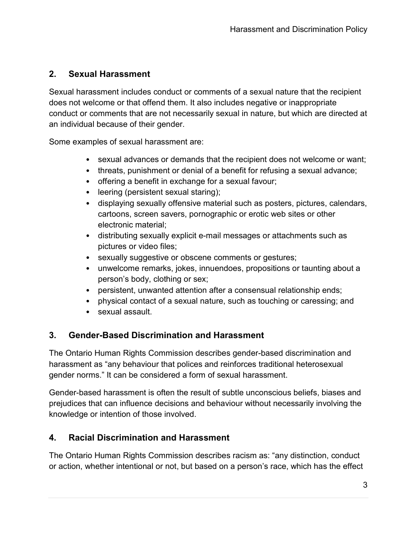# 2. Sexual Harassment

Sexual harassment includes conduct or comments of a sexual nature that the recipient does not welcome or that offend them. It also includes negative or inappropriate conduct or comments that are not necessarily sexual in nature, but which are directed at an individual because of their gender.

Some examples of sexual harassment are:

- sexual advances or demands that the recipient does not welcome or want;
- threats, punishment or denial of a benefit for refusing a sexual advance;
- offering a benefit in exchange for a sexual favour;
- leering (persistent sexual staring);
- displaying sexually offensive material such as posters, pictures, calendars, cartoons, screen savers, pornographic or erotic web sites or other electronic material;
- distributing sexually explicit e-mail messages or attachments such as pictures or video files;
- sexually suggestive or obscene comments or gestures;
- unwelcome remarks, jokes, innuendoes, propositions or taunting about a person's body, clothing or sex;
- persistent, unwanted attention after a consensual relationship ends;
- physical contact of a sexual nature, such as touching or caressing; and
- sexual assault.

# 3. Gender-Based Discrimination and Harassment

The Ontario Human Rights Commission describes gender-based discrimination and harassment as "any behaviour that polices and reinforces traditional heterosexual gender norms." It can be considered a form of sexual harassment.

Gender-based harassment is often the result of subtle unconscious beliefs, biases and prejudices that can influence decisions and behaviour without necessarily involving the knowledge or intention of those involved.

# 4. Racial Discrimination and Harassment

The Ontario Human Rights Commission describes racism as: "any distinction, conduct or action, whether intentional or not, but based on a person's race, which has the effect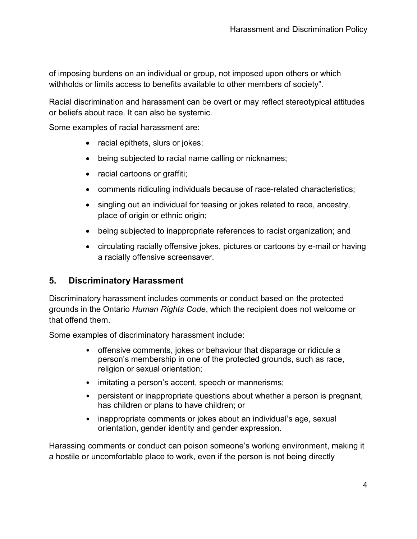of imposing burdens on an individual or group, not imposed upon others or which withholds or limits access to benefits available to other members of society".

Racial discrimination and harassment can be overt or may reflect stereotypical attitudes or beliefs about race. It can also be systemic.

Some examples of racial harassment are:

- racial epithets, slurs or jokes;
- being subjected to racial name calling or nicknames;
- racial cartoons or graffiti;
- comments ridiculing individuals because of race-related characteristics;
- singling out an individual for teasing or jokes related to race, ancestry, place of origin or ethnic origin;
- being subjected to inappropriate references to racist organization; and
- circulating racially offensive jokes, pictures or cartoons by e-mail or having a racially offensive screensaver.

#### 5. Discriminatory Harassment

Discriminatory harassment includes comments or conduct based on the protected grounds in the Ontario Human Rights Code, which the recipient does not welcome or that offend them.

Some examples of discriminatory harassment include:

- offensive comments, jokes or behaviour that disparage or ridicule a person's membership in one of the protected grounds, such as race, religion or sexual orientation;
- imitating a person's accent, speech or mannerisms;
- persistent or inappropriate questions about whether a person is pregnant, has children or plans to have children; or
- inappropriate comments or jokes about an individual's age, sexual orientation, gender identity and gender expression.

Harassing comments or conduct can poison someone's working environment, making it a hostile or uncomfortable place to work, even if the person is not being directly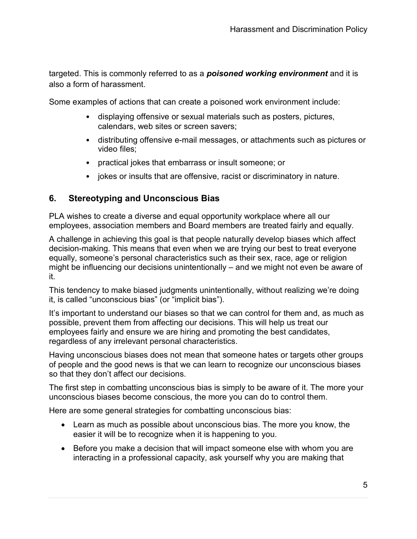targeted. This is commonly referred to as a **poisoned working environment** and it is also a form of harassment.

Some examples of actions that can create a poisoned work environment include:

- displaying offensive or sexual materials such as posters, pictures, calendars, web sites or screen savers;
- distributing offensive e-mail messages, or attachments such as pictures or video files;
- practical jokes that embarrass or insult someone; or
- jokes or insults that are offensive, racist or discriminatory in nature.

#### 6. Stereotyping and Unconscious Bias

PLA wishes to create a diverse and equal opportunity workplace where all our employees, association members and Board members are treated fairly and equally.

A challenge in achieving this goal is that people naturally develop biases which affect decision-making. This means that even when we are trying our best to treat everyone equally, someone's personal characteristics such as their sex, race, age or religion might be influencing our decisions unintentionally – and we might not even be aware of it.

This tendency to make biased judgments unintentionally, without realizing we're doing it, is called "unconscious bias" (or "implicit bias").

It's important to understand our biases so that we can control for them and, as much as possible, prevent them from affecting our decisions. This will help us treat our employees fairly and ensure we are hiring and promoting the best candidates, regardless of any irrelevant personal characteristics.

Having unconscious biases does not mean that someone hates or targets other groups of people and the good news is that we can learn to recognize our unconscious biases so that they don't affect our decisions.

The first step in combatting unconscious bias is simply to be aware of it. The more your unconscious biases become conscious, the more you can do to control them.

Here are some general strategies for combatting unconscious bias:

- Learn as much as possible about unconscious bias. The more you know, the easier it will be to recognize when it is happening to you.
- Before you make a decision that will impact someone else with whom you are interacting in a professional capacity, ask yourself why you are making that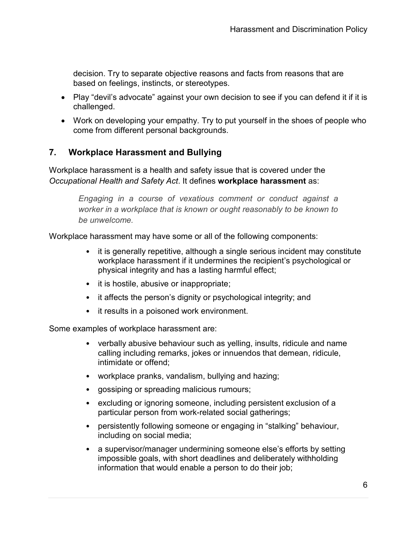decision. Try to separate objective reasons and facts from reasons that are based on feelings, instincts, or stereotypes.

- Play "devil's advocate" against your own decision to see if you can defend it if it is challenged.
- Work on developing your empathy. Try to put yourself in the shoes of people who come from different personal backgrounds.

#### 7. Workplace Harassment and Bullying

Workplace harassment is a health and safety issue that is covered under the Occupational Health and Safety Act. It defines workplace harassment as:

> Engaging in a course of vexatious comment or conduct against a worker in a workplace that is known or ought reasonably to be known to be unwelcome.

Workplace harassment may have some or all of the following components:

- it is generally repetitive, although a single serious incident may constitute workplace harassment if it undermines the recipient's psychological or physical integrity and has a lasting harmful effect;
- it is hostile, abusive or inappropriate;
- it affects the person's dignity or psychological integrity; and
- it results in a poisoned work environment.

Some examples of workplace harassment are:

- verbally abusive behaviour such as yelling, insults, ridicule and name calling including remarks, jokes or innuendos that demean, ridicule, intimidate or offend;
- workplace pranks, vandalism, bullying and hazing;
- gossiping or spreading malicious rumours;
- excluding or ignoring someone, including persistent exclusion of a particular person from work-related social gatherings;
- persistently following someone or engaging in "stalking" behaviour, including on social media;
- a supervisor/manager undermining someone else's efforts by setting impossible goals, with short deadlines and deliberately withholding information that would enable a person to do their job;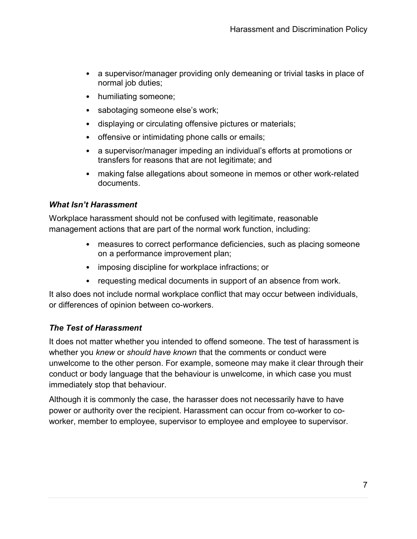- a supervisor/manager providing only demeaning or trivial tasks in place of normal job duties;
- humiliating someone;
- sabotaging someone else's work;
- displaying or circulating offensive pictures or materials;
- offensive or intimidating phone calls or emails;
- a supervisor/manager impeding an individual's efforts at promotions or transfers for reasons that are not legitimate; and
- making false allegations about someone in memos or other work-related documents.

#### What Isn't Harassment

Workplace harassment should not be confused with legitimate, reasonable management actions that are part of the normal work function, including:

- measures to correct performance deficiencies, such as placing someone on a performance improvement plan;
- imposing discipline for workplace infractions; or
- requesting medical documents in support of an absence from work.

It also does not include normal workplace conflict that may occur between individuals, or differences of opinion between co-workers.

#### The Test of Harassment

It does not matter whether you intended to offend someone. The test of harassment is whether you knew or should have known that the comments or conduct were unwelcome to the other person. For example, someone may make it clear through their conduct or body language that the behaviour is unwelcome, in which case you must immediately stop that behaviour.

Although it is commonly the case, the harasser does not necessarily have to have power or authority over the recipient. Harassment can occur from co-worker to coworker, member to employee, supervisor to employee and employee to supervisor.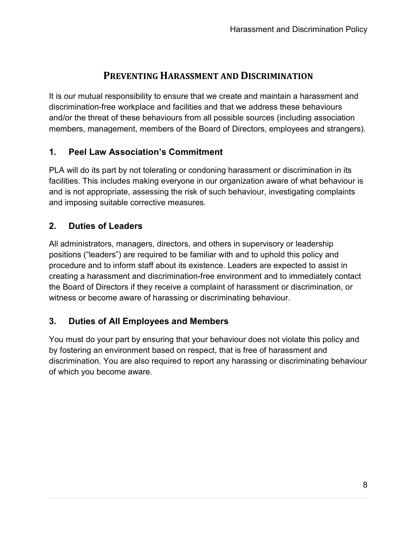# PREVENTING HARASSMENT AND DISCRIMINATION

It is our mutual responsibility to ensure that we create and maintain a harassment and discrimination-free workplace and facilities and that we address these behaviours and/or the threat of these behaviours from all possible sources (including association members, management, members of the Board of Directors, employees and strangers).

# 1. Peel Law Association's Commitment

PLA will do its part by not tolerating or condoning harassment or discrimination in its facilities. This includes making everyone in our organization aware of what behaviour is and is not appropriate, assessing the risk of such behaviour, investigating complaints and imposing suitable corrective measures.

# 2. Duties of Leaders

All administrators, managers, directors, and others in supervisory or leadership positions ("leaders") are required to be familiar with and to uphold this policy and procedure and to inform staff about its existence. Leaders are expected to assist in creating a harassment and discrimination-free environment and to immediately contact the Board of Directors if they receive a complaint of harassment or discrimination, or witness or become aware of harassing or discriminating behaviour.

# 3. Duties of All Employees and Members

You must do your part by ensuring that your behaviour does not violate this policy and by fostering an environment based on respect, that is free of harassment and discrimination. You are also required to report any harassing or discriminating behaviour of which you become aware.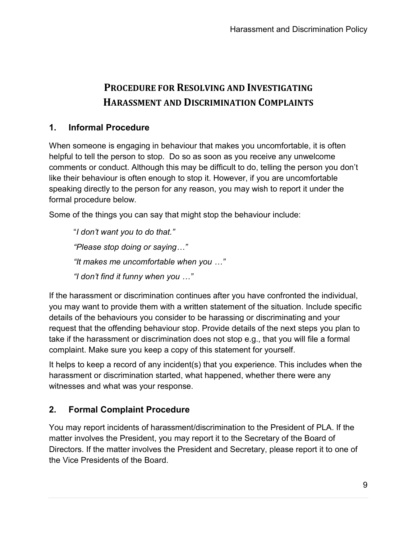# PROCEDURE FOR RESOLVING AND INVESTIGATING HARASSMENT AND DISCRIMINATION COMPLAINTS

### 1. Informal Procedure

When someone is engaging in behaviour that makes you uncomfortable, it is often helpful to tell the person to stop. Do so as soon as you receive any unwelcome comments or conduct. Although this may be difficult to do, telling the person you don't like their behaviour is often enough to stop it. However, if you are uncomfortable speaking directly to the person for any reason, you may wish to report it under the formal procedure below.

Some of the things you can say that might stop the behaviour include:

"I don't want you to do that." "Please stop doing or saying…" "It makes me uncomfortable when you …" "I don't find it funny when you …"

If the harassment or discrimination continues after you have confronted the individual, you may want to provide them with a written statement of the situation. Include specific details of the behaviours you consider to be harassing or discriminating and your request that the offending behaviour stop. Provide details of the next steps you plan to take if the harassment or discrimination does not stop e.g., that you will file a formal complaint. Make sure you keep a copy of this statement for yourself.

It helps to keep a record of any incident(s) that you experience. This includes when the harassment or discrimination started, what happened, whether there were any witnesses and what was your response.

# 2. Formal Complaint Procedure

You may report incidents of harassment/discrimination to the President of PLA. If the matter involves the President, you may report it to the Secretary of the Board of Directors. If the matter involves the President and Secretary, please report it to one of the Vice Presidents of the Board.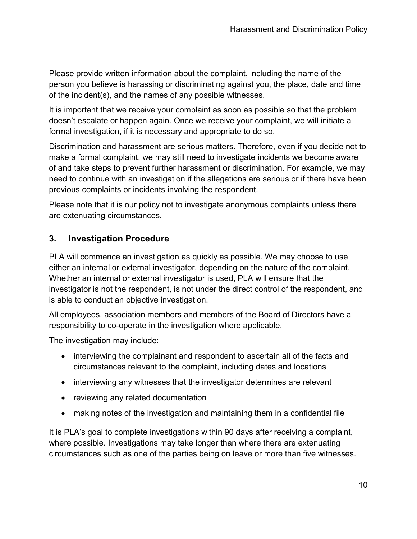Please provide written information about the complaint, including the name of the person you believe is harassing or discriminating against you, the place, date and time of the incident(s), and the names of any possible witnesses.

It is important that we receive your complaint as soon as possible so that the problem doesn't escalate or happen again. Once we receive your complaint, we will initiate a formal investigation, if it is necessary and appropriate to do so.

Discrimination and harassment are serious matters. Therefore, even if you decide not to make a formal complaint, we may still need to investigate incidents we become aware of and take steps to prevent further harassment or discrimination. For example, we may need to continue with an investigation if the allegations are serious or if there have been previous complaints or incidents involving the respondent.

Please note that it is our policy not to investigate anonymous complaints unless there are extenuating circumstances.

# 3. Investigation Procedure

PLA will commence an investigation as quickly as possible. We may choose to use either an internal or external investigator, depending on the nature of the complaint. Whether an internal or external investigator is used, PLA will ensure that the investigator is not the respondent, is not under the direct control of the respondent, and is able to conduct an objective investigation.

All employees, association members and members of the Board of Directors have a responsibility to co-operate in the investigation where applicable.

The investigation may include:

- interviewing the complainant and respondent to ascertain all of the facts and circumstances relevant to the complaint, including dates and locations
- interviewing any witnesses that the investigator determines are relevant
- reviewing any related documentation
- making notes of the investigation and maintaining them in a confidential file

It is PLA's goal to complete investigations within 90 days after receiving a complaint, where possible. Investigations may take longer than where there are extenuating circumstances such as one of the parties being on leave or more than five witnesses.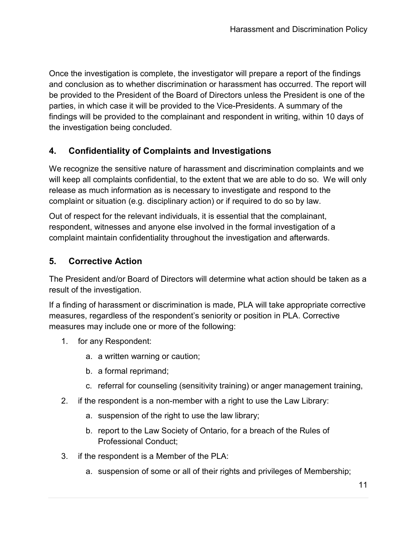Once the investigation is complete, the investigator will prepare a report of the findings and conclusion as to whether discrimination or harassment has occurred. The report will be provided to the President of the Board of Directors unless the President is one of the parties, in which case it will be provided to the Vice-Presidents. A summary of the findings will be provided to the complainant and respondent in writing, within 10 days of the investigation being concluded.

# 4. Confidentiality of Complaints and Investigations

We recognize the sensitive nature of harassment and discrimination complaints and we will keep all complaints confidential, to the extent that we are able to do so. We will only release as much information as is necessary to investigate and respond to the complaint or situation (e.g. disciplinary action) or if required to do so by law.

Out of respect for the relevant individuals, it is essential that the complainant, respondent, witnesses and anyone else involved in the formal investigation of a complaint maintain confidentiality throughout the investigation and afterwards.

# 5. Corrective Action

The President and/or Board of Directors will determine what action should be taken as a result of the investigation.

If a finding of harassment or discrimination is made, PLA will take appropriate corrective measures, regardless of the respondent's seniority or position in PLA. Corrective measures may include one or more of the following:

- 1. for any Respondent:
	- a. a written warning or caution;
	- b. a formal reprimand;
	- c. referral for counseling (sensitivity training) or anger management training,
- 2. if the respondent is a non-member with a right to use the Law Library:
	- a. suspension of the right to use the law library;
	- b. report to the Law Society of Ontario, for a breach of the Rules of Professional Conduct;
- 3. if the respondent is a Member of the PLA:
	- a. suspension of some or all of their rights and privileges of Membership;